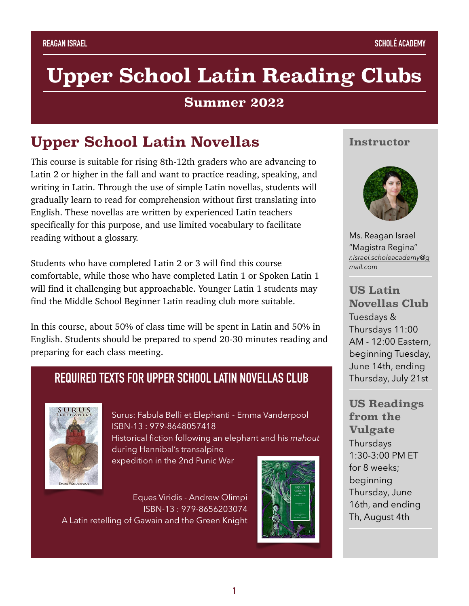# **Upper School Latin Reading Clubs**

#### **Summer 2022**

# **Upper School Latin Novellas**

This course is suitable for rising 8th-12th graders who are advancing to Latin 2 or higher in the fall and want to practice reading, speaking, and writing in Latin. Through the use of simple Latin novellas, students will gradually learn to read for comprehension without first translating into English. These novellas are written by experienced Latin teachers specifically for this purpose, and use limited vocabulary to facilitate reading without a glossary.

Students who have completed Latin 2 or 3 will find this course comfortable, while those who have completed Latin 1 or Spoken Latin 1 will find it challenging but approachable. Younger Latin 1 students may find the Middle School Beginner Latin reading club more suitable.

In this course, about 50% of class time will be spent in Latin and 50% in English. Students should be prepared to spend 20-30 minutes reading and preparing for each class meeting.

### **REQUIRED TEXTS FOR UPPER SCHOOL LATIN NOVELLAS CLUB**



Surus: Fabula Belli et Elephanti - Emma Vanderpool ISBN-13 : 979-8648057418 Historical fiction following an elephant and his *mahout* during Hannibal's transalpine expedition in the 2nd Punic War

Eques Viridis - Andrew Olimpi ISBN-13 : 979-8656203074 A Latin retelling of Gawain and the Green Knight



#### **Instructor**



Ms. Reagan Israel "Magistra Regina" *r.israel.scholeacademy@g mail.com*

**US Latin Novellas Club**  Tuesdays &

Thursdays 11:00 AM - 12:00 Eastern, beginning Tuesday, June 14th, ending Thursday, July 21st

**US Readings from the Vulgate Thursdays** 1:30-3:00 PM ET for 8 weeks; beginning Thursday, June 16th, and ending Th, August 4th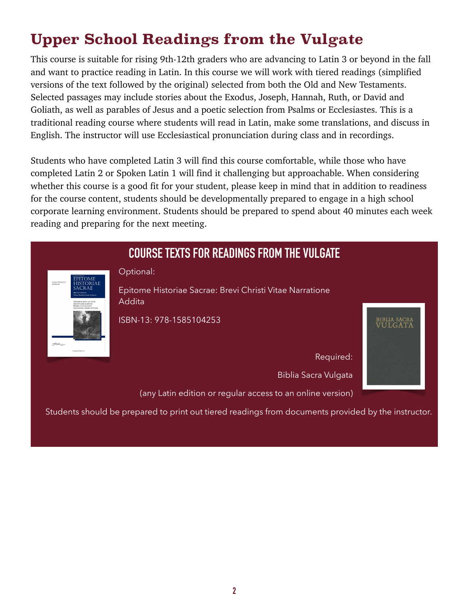# **Upper School Readings from the Vulgate**

This course is suitable for rising 9th-12th graders who are advancing to Latin 3 or beyond in the fall and want to practice reading in Latin. In this course we will work with tiered readings (simplified versions of the text followed by the original) selected from both the Old and New Testaments. Selected passages may include stories about the Exodus, Joseph, Hannah, Ruth, or David and Goliath, as well as parables of Jesus and a poetic selection from Psalms or Ecclesiastes. This is a traditional reading course where students will read in Latin, make some translations, and discuss in English. The instructor will use Ecclesiastical pronunciation during class and in recordings.

Students who have completed Latin 3 will find this course comfortable, while those who have completed Latin 2 or Spoken Latin 1 will find it challenging but approachable. When considering whether this course is a good fit for your student, please keep in mind that in addition to readiness for the course content, students should be developmentally prepared to engage in a high school corporate learning environment. Students should be prepared to spend about 40 minutes each week reading and preparing for the next meeting.

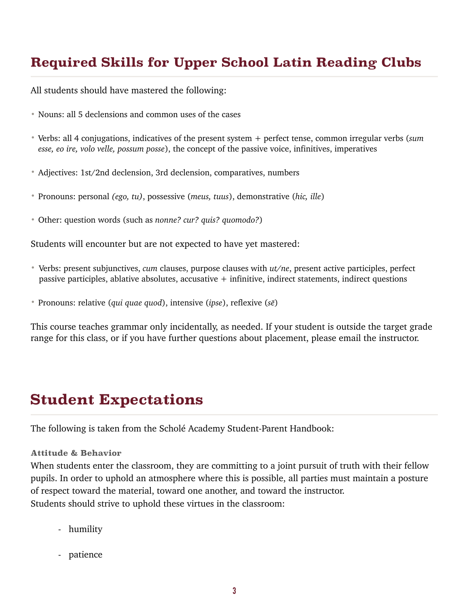## **Required Skills for Upper School Latin Reading Clubs**

All students should have mastered the following:

- Nouns: all 5 declensions and common uses of the cases
- Verbs: all 4 conjugations, indicatives of the present system + perfect tense, common irregular verbs (*sum esse, eo ire, volo velle, possum posse*), the concept of the passive voice, infinitives, imperatives
- Adjectives: 1st/2nd declension, 3rd declension, comparatives, numbers
- Pronouns: personal *(ego, tu)*, possessive (*meus, tuus*), demonstrative (*hic, ille*)
- Other: question words (such as *nonne? cur? quis? quomodo?*)

Students will encounter but are not expected to have yet mastered:

- Verbs: present subjunctives, *cum* clauses, purpose clauses with *ut/ne*, present active participles, perfect passive participles, ablative absolutes, accusative  $+$  infinitive, indirect statements, indirect questions
- Pronouns: relative (*qui quae quod*), intensive (*ipse*), reflexive (*sē*)

This course teaches grammar only incidentally, as needed. If your student is outside the target grade range for this class, or if you have further questions about placement, please email the instructor.

## **Student Expectations**

The following is taken from the Scholé Academy Student-Parent Handbook:

#### **Attitude & Behavior**

When students enter the classroom, they are committing to a joint pursuit of truth with their fellow pupils. In order to uphold an atmosphere where this is possible, all parties must maintain a posture of respect toward the material, toward one another, and toward the instructor. Students should strive to uphold these virtues in the classroom:

- humility
- patience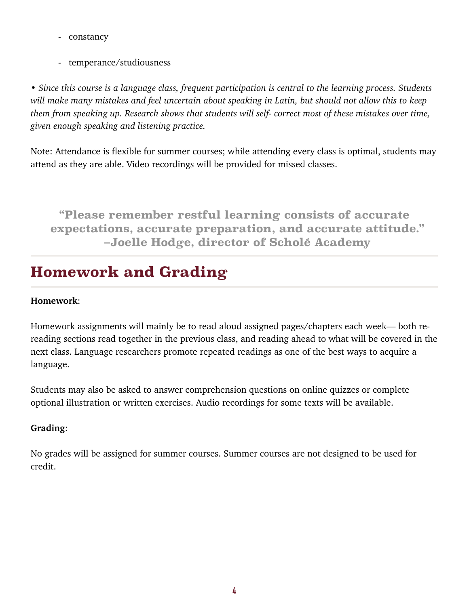- constancy
- temperance/studiousness

*• Since this course is a language class, frequent participation is central to the learning process. Students will make many mistakes and feel uncertain about speaking in Latin, but should not allow this to keep them from speaking up. Research shows that students will self- correct most of these mistakes over time, given enough speaking and listening practice.* 

Note: Attendance is flexible for summer courses; while attending every class is optimal, students may attend as they are able. Video recordings will be provided for missed classes.

**"Please remember restful learning consists of accurate expectations, accurate preparation, and accurate attitude." –Joelle Hodge, director of Scholé Academy** 

# **Homework and Grading**

#### **Homework**:

Homework assignments will mainly be to read aloud assigned pages/chapters each week— both rereading sections read together in the previous class, and reading ahead to what will be covered in the next class. Language researchers promote repeated readings as one of the best ways to acquire a language.

Students may also be asked to answer comprehension questions on online quizzes or complete optional illustration or written exercises. Audio recordings for some texts will be available.

#### **Grading**:

No grades will be assigned for summer courses. Summer courses are not designed to be used for credit.